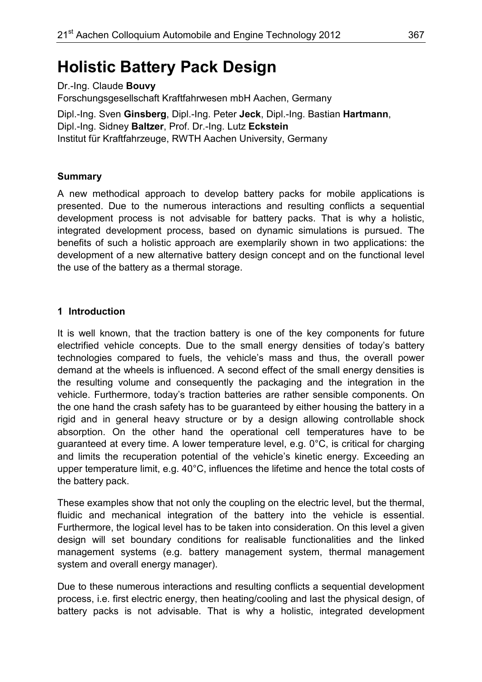# **Holistic Battery Pack Design**

Dr.-Ing. Claude **Bouvy** Forschungsgesellschaft Kraftfahrwesen mbH Aachen, Germany Dipl.-Ing. Sven **Ginsberg**, Dipl.-Ing. Peter **Jeck**, Dipl.-Ing. Bastian **Hartmann**, Dipl.-Ing. Sidney **Baltzer**, Prof. Dr.-Ing. Lutz **Eckstein**

Institut für Kraftfahrzeuge, RWTH Aachen University, Germany

#### **Summary**

A new methodical approach to develop battery packs for mobile applications is presented. Due to the numerous interactions and resulting conflicts a sequential development process is not advisable for battery packs. That is why a holistic, integrated development process, based on dynamic simulations is pursued. The benefits of such a holistic approach are exemplarily shown in two applications: the development of a new alternative battery design concept and on the functional level the use of the battery as a thermal storage.

# **1 Introduction**

It is well known, that the traction battery is one of the key components for future electrified vehicle concepts. Due to the small energy densities of today's battery technologies compared to fuels, the vehicle's mass and thus, the overall power demand at the wheels is influenced. A second effect of the small energy densities is the resulting volume and consequently the packaging and the integration in the vehicle. Furthermore, today's traction batteries are rather sensible components. On the one hand the crash safety has to be guaranteed by either housing the battery in a rigid and in general heavy structure or by a design allowing controllable shock absorption. On the other hand the operational cell temperatures have to be guaranteed at every time. A lower temperature level, e.g. 0°C, is critical for charging and limits the recuperation potential of the vehicle's kinetic energy. Exceeding an upper temperature limit, e.g. 40°C, influences the lifetime and hence the total costs of the battery pack.

These examples show that not only the coupling on the electric level, but the thermal, fluidic and mechanical integration of the battery into the vehicle is essential. Furthermore, the logical level has to be taken into consideration. On this level a given design will set boundary conditions for realisable functionalities and the linked management systems (e.g. battery management system, thermal management system and overall energy manager).

Due to these numerous interactions and resulting conflicts a sequential development process, i.e. first electric energy, then heating/cooling and last the physical design, of battery packs is not advisable. That is why a holistic, integrated development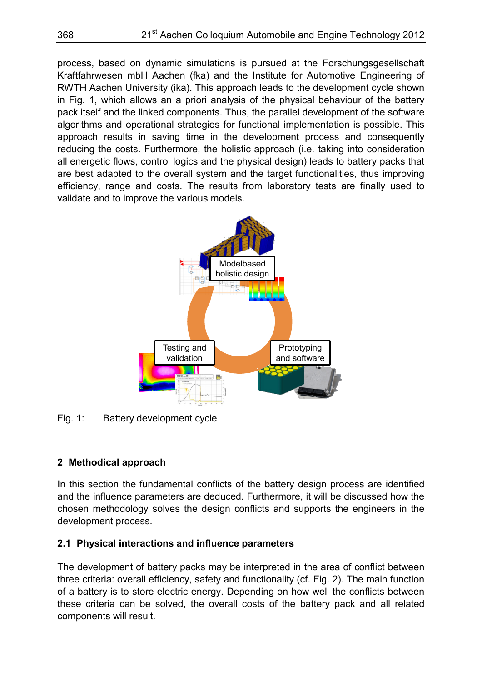process, based on dynamic simulations is pursued at the Forschungsgesellschaft Kraftfahrwesen mbH Aachen (fka) and the Institute for Automotive Engineering of RWTH Aachen University (ika). This approach leads to the development cycle shown in Fig. 1, which allows an a priori analysis of the physical behaviour of the battery pack itself and the linked components. Thus, the parallel development of the software algorithms and operational strategies for functional implementation is possible. This approach results in saving time in the development process and consequently reducing the costs. Furthermore, the holistic approach (i.e. taking into consideration all energetic flows, control logics and the physical design) leads to battery packs that are best adapted to the overall system and the target functionalities, thus improving efficiency, range and costs. The results from laboratory tests are finally used to validate and to improve the various models.



Fig. 1: Battery development cycle

# **2 Methodical approach**

In this section the fundamental conflicts of the battery design process are identified and the influence parameters are deduced. Furthermore, it will be discussed how the chosen methodology solves the design conflicts and supports the engineers in the development process.

# **2.1 Physical interactions and influence parameters**

The development of battery packs may be interpreted in the area of conflict between three criteria: overall efficiency, safety and functionality (cf. Fig. 2). The main function of a battery is to store electric energy. Depending on how well the conflicts between these criteria can be solved, the overall costs of the battery pack and all related components will result.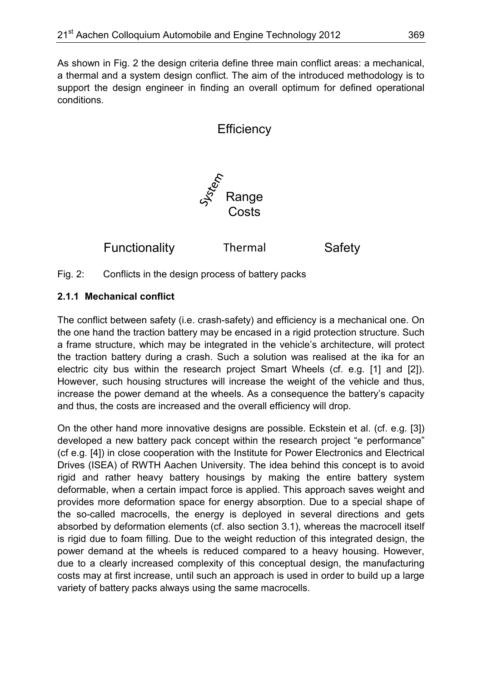As shown in Fig. 2 the design criteria define three main conflict areas: a mechanical, a thermal and a system design conflict. The aim of the introduced methodology is to support the design engineer in finding an overall optimum for defined operational conditions.

**Efficiency** 

Functionality Thermal Safety

Fig. 2: Conflicts in the design process of battery packs

# **2.1.1 Mechanical conflict**

The conflict between safety (i.e. crash-safety) and efficiency is a mechanical one. On the one hand the traction battery may be encased in a rigid protection structure. Such a frame structure, which may be integrated in the vehicle's architecture, will protect the traction battery during a crash. Such a solution was realised at the ika for an electric city bus within the research project Smart Wheels (cf. e.g. [1] and [2]). However, such housing structures will increase the weight of the vehicle and thus, increase the power demand at the wheels. As a consequence the battery's capacity and thus, the costs are increased and the overall efficiency will drop.

On the other hand more innovative designs are possible. Eckstein et al. (cf. e.g. [3]) developed a new battery pack concept within the research project "e performance" (cf e.g. [4]) in close cooperation with the Institute for Power Electronics and Electrical Drives (ISEA) of RWTH Aachen University. The idea behind this concept is to avoid rigid and rather heavy battery housings by making the entire battery system deformable, when a certain impact force is applied. This approach saves weight and provides more deformation space for energy absorption. Due to a special shape of the so-called macrocells, the energy is deployed in several directions and gets absorbed by deformation elements (cf. also section 3.1), whereas the macrocell itself is rigid due to foam filling. Due to the weight reduction of this integrated design, the power demand at the wheels is reduced compared to a heavy housing. However, due to a clearly increased complexity of this conceptual design, the manufacturing costs may at first increase, until such an approach is used in order to build up a large variety of battery packs always using the same macrocells.

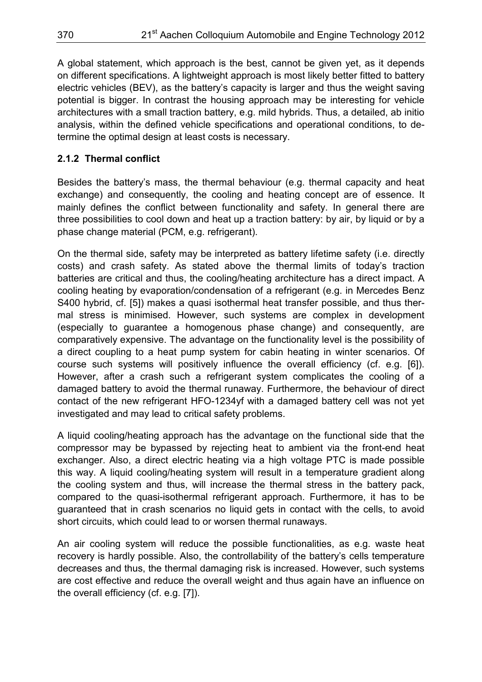A global statement, which approach is the best, cannot be given yet, as it depends on different specifications. A lightweight approach is most likely better fitted to battery electric vehicles (BEV), as the battery's capacity is larger and thus the weight saving potential is bigger. In contrast the housing approach may be interesting for vehicle architectures with a small traction battery, e.g. mild hybrids. Thus, a detailed, ab initio analysis, within the defined vehicle specifications and operational conditions, to determine the optimal design at least costs is necessary.

# **2.1.2 Thermal conflict**

Besides the battery's mass, the thermal behaviour (e.g. thermal capacity and heat exchange) and consequently, the cooling and heating concept are of essence. It mainly defines the conflict between functionality and safety. In general there are three possibilities to cool down and heat up a traction battery: by air, by liquid or by a phase change material (PCM, e.g. refrigerant).

On the thermal side, safety may be interpreted as battery lifetime safety (i.e. directly costs) and crash safety. As stated above the thermal limits of today's traction batteries are critical and thus, the cooling/heating architecture has a direct impact. A cooling heating by evaporation/condensation of a refrigerant (e.g. in Mercedes Benz S400 hybrid, cf. [5]) makes a quasi isothermal heat transfer possible, and thus thermal stress is minimised. However, such systems are complex in development (especially to guarantee a homogenous phase change) and consequently, are comparatively expensive. The advantage on the functionality level is the possibility of a direct coupling to a heat pump system for cabin heating in winter scenarios. Of course such systems will positively influence the overall efficiency (cf. e.g. [6]). However, after a crash such a refrigerant system complicates the cooling of a damaged battery to avoid the thermal runaway. Furthermore, the behaviour of direct contact of the new refrigerant HFO-1234yf with a damaged battery cell was not yet investigated and may lead to critical safety problems.

A liquid cooling/heating approach has the advantage on the functional side that the compressor may be bypassed by rejecting heat to ambient via the front-end heat exchanger. Also, a direct electric heating via a high voltage PTC is made possible this way. A liquid cooling/heating system will result in a temperature gradient along the cooling system and thus, will increase the thermal stress in the battery pack, compared to the quasi-isothermal refrigerant approach. Furthermore, it has to be guaranteed that in crash scenarios no liquid gets in contact with the cells, to avoid short circuits, which could lead to or worsen thermal runaways.

An air cooling system will reduce the possible functionalities, as e.g. waste heat recovery is hardly possible. Also, the controllability of the battery's cells temperature decreases and thus, the thermal damaging risk is increased. However, such systems are cost effective and reduce the overall weight and thus again have an influence on the overall efficiency (cf. e.g. [7]).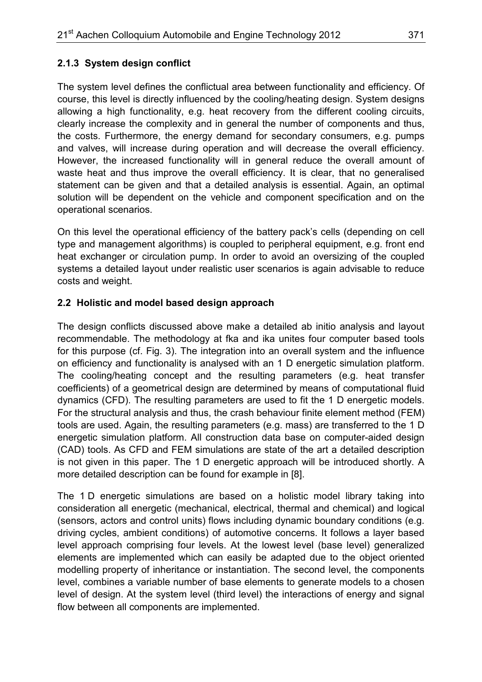# **2.1.3 System design conflict**

The system level defines the conflictual area between functionality and efficiency. Of course, this level is directly influenced by the cooling/heating design. System designs allowing a high functionality, e.g. heat recovery from the different cooling circuits, clearly increase the complexity and in general the number of components and thus, the costs. Furthermore, the energy demand for secondary consumers, e.g. pumps and valves, will increase during operation and will decrease the overall efficiency. However, the increased functionality will in general reduce the overall amount of waste heat and thus improve the overall efficiency. It is clear, that no generalised statement can be given and that a detailed analysis is essential. Again, an optimal solution will be dependent on the vehicle and component specification and on the operational scenarios.

On this level the operational efficiency of the battery pack's cells (depending on cell type and management algorithms) is coupled to peripheral equipment, e.g. front end heat exchanger or circulation pump. In order to avoid an oversizing of the coupled systems a detailed layout under realistic user scenarios is again advisable to reduce costs and weight.

# **2.2 Holistic and model based design approach**

The design conflicts discussed above make a detailed ab initio analysis and layout recommendable. The methodology at fka and ika unites four computer based tools for this purpose (cf. Fig. 3). The integration into an overall system and the influence on efficiency and functionality is analysed with an 1 D energetic simulation platform. The cooling/heating concept and the resulting parameters (e.g. heat transfer coefficients) of a geometrical design are determined by means of computational fluid dynamics (CFD). The resulting parameters are used to fit the 1 D energetic models. For the structural analysis and thus, the crash behaviour finite element method (FEM) tools are used. Again, the resulting parameters (e.g. mass) are transferred to the 1 D energetic simulation platform. All construction data base on computer-aided design (CAD) tools. As CFD and FEM simulations are state of the art a detailed description is not given in this paper. The 1 D energetic approach will be introduced shortly. A more detailed description can be found for example in [8].

The 1 D energetic simulations are based on a holistic model library taking into consideration all energetic (mechanical, electrical, thermal and chemical) and logical (sensors, actors and control units) flows including dynamic boundary conditions (e.g. driving cycles, ambient conditions) of automotive concerns. It follows a layer based level approach comprising four levels. At the lowest level (base level) generalized elements are implemented which can easily be adapted due to the object oriented modelling property of inheritance or instantiation. The second level, the components level, combines a variable number of base elements to generate models to a chosen level of design. At the system level (third level) the interactions of energy and signal flow between all components are implemented.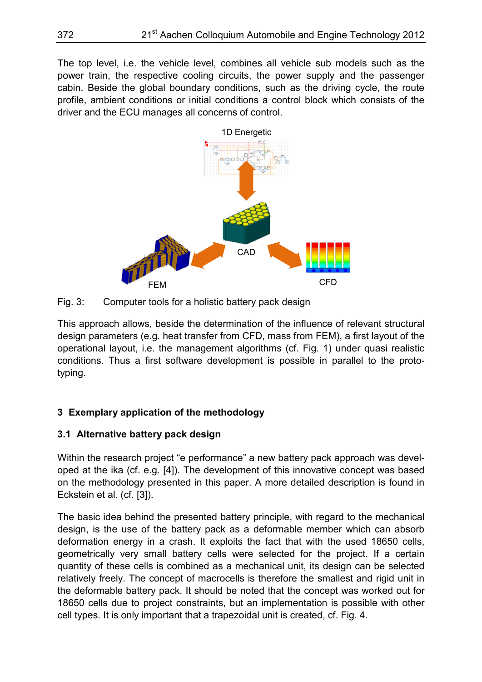The top level, i.e. the vehicle level, combines all vehicle sub models such as the power train, the respective cooling circuits, the power supply and the passenger cabin. Beside the global boundary conditions, such as the driving cycle, the route profile, ambient conditions or initial conditions a control block which consists of the driver and the ECU manages all concerns of control.



Fig. 3: Computer tools for a holistic battery pack design

This approach allows, beside the determination of the influence of relevant structural design parameters (e.g. heat transfer from CFD, mass from FEM), a first layout of the operational layout, i.e. the management algorithms (cf. Fig. 1) under quasi realistic conditions. Thus a first software development is possible in parallel to the prototyping.

# **3 Exemplary application of the methodology**

# **3.1 Alternative battery pack design**

Within the research project "e performance" a new battery pack approach was developed at the ika (cf. e.g. [4]). The development of this innovative concept was based on the methodology presented in this paper. A more detailed description is found in Eckstein et al. (cf. [3]).

The basic idea behind the presented battery principle, with regard to the mechanical design, is the use of the battery pack as a deformable member which can absorb deformation energy in a crash. It exploits the fact that with the used 18650 cells, geometrically very small battery cells were selected for the project. If a certain quantity of these cells is combined as a mechanical unit, its design can be selected relatively freely. The concept of macrocells is therefore the smallest and rigid unit in the deformable battery pack. It should be noted that the concept was worked out for 18650 cells due to project constraints, but an implementation is possible with other cell types. It is only important that a trapezoidal unit is created, cf. Fig. 4.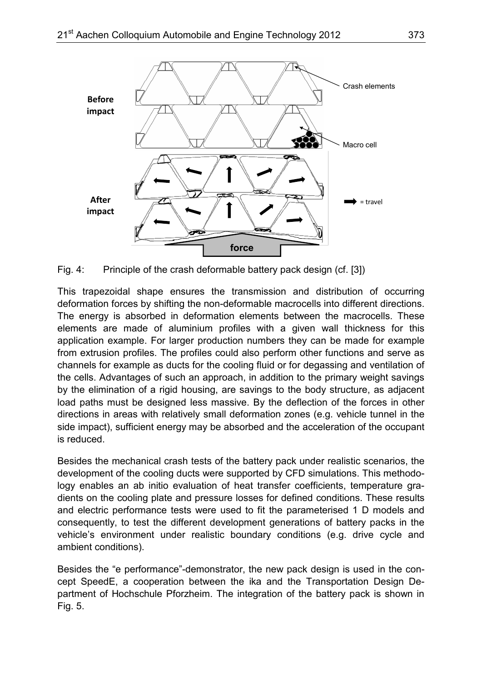

Fig. 4: Principle of the crash deformable battery pack design (cf. [3])

This trapezoidal shape ensures the transmission and distribution of occurring deformation forces by shifting the non-deformable macrocells into different directions. The energy is absorbed in deformation elements between the macrocells. These elements are made of aluminium profiles with a given wall thickness for this application example. For larger production numbers they can be made for example from extrusion profiles. The profiles could also perform other functions and serve as channels for example as ducts for the cooling fluid or for degassing and ventilation of the cells. Advantages of such an approach, in addition to the primary weight savings by the elimination of a rigid housing, are savings to the body structure, as adjacent load paths must be designed less massive. By the deflection of the forces in other directions in areas with relatively small deformation zones (e.g. vehicle tunnel in the side impact), sufficient energy may be absorbed and the acceleration of the occupant is reduced.

Besides the mechanical crash tests of the battery pack under realistic scenarios, the development of the cooling ducts were supported by CFD simulations. This methodology enables an ab initio evaluation of heat transfer coefficients, temperature gradients on the cooling plate and pressure losses for defined conditions. These results and electric performance tests were used to fit the parameterised 1 D models and consequently, to test the different development generations of battery packs in the vehicle's environment under realistic boundary conditions (e.g. drive cycle and ambient conditions).

Besides the "e performance"-demonstrator, the new pack design is used in the concept SpeedE, a cooperation between the ika and the Transportation Design Department of Hochschule Pforzheim. The integration of the battery pack is shown in Fig. 5.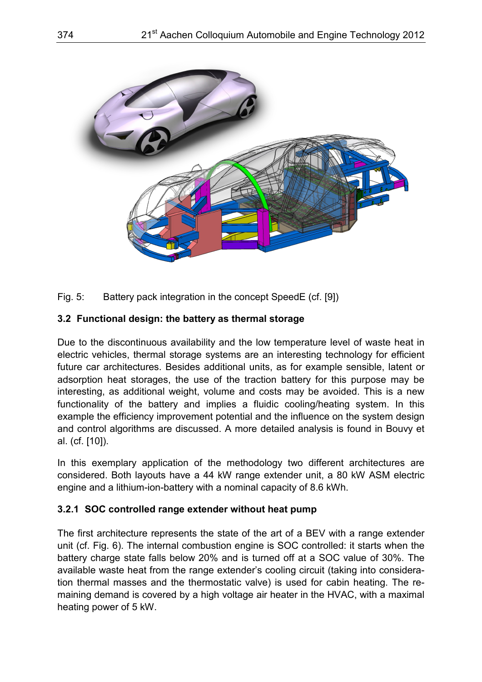

Fig. 5: Battery pack integration in the concept SpeedE (cf. [9])

# **3.2 Functional design: the battery as thermal storage**

Due to the discontinuous availability and the low temperature level of waste heat in electric vehicles, thermal storage systems are an interesting technology for efficient future car architectures. Besides additional units, as for example sensible, latent or adsorption heat storages, the use of the traction battery for this purpose may be interesting, as additional weight, volume and costs may be avoided. This is a new functionality of the battery and implies a fluidic cooling/heating system. In this example the efficiency improvement potential and the influence on the system design and control algorithms are discussed. A more detailed analysis is found in Bouvy et al. (cf. [10]).

In this exemplary application of the methodology two different architectures are considered. Both layouts have a 44 kW range extender unit, a 80 kW ASM electric engine and a lithium-ion-battery with a nominal capacity of 8.6 kWh.

#### **3.2.1 SOC controlled range extender without heat pump**

The first architecture represents the state of the art of a BEV with a range extender unit (cf. Fig. 6). The internal combustion engine is SOC controlled: it starts when the battery charge state falls below 20% and is turned off at a SOC value of 30%. The available waste heat from the range extender's cooling circuit (taking into consideration thermal masses and the thermostatic valve) is used for cabin heating. The remaining demand is covered by a high voltage air heater in the HVAC, with a maximal heating power of 5 kW.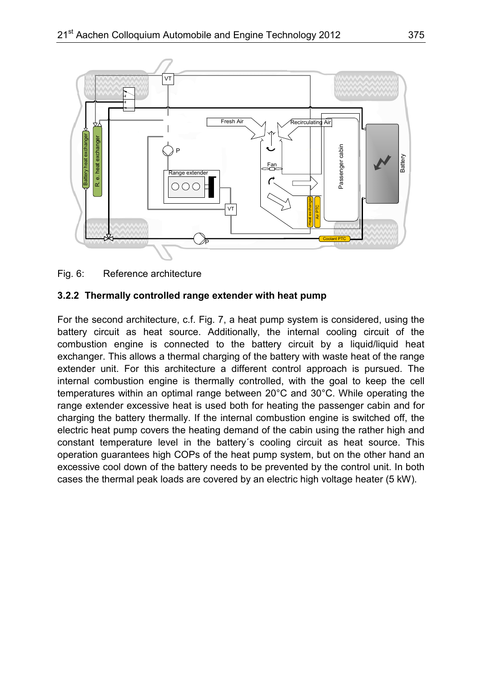

Fig. 6: Reference architecture

#### **3.2.2 Thermally controlled range extender with heat pump**

For the second architecture, c.f. Fig. 7, a heat pump system is considered, using the battery circuit as heat source. Additionally, the internal cooling circuit of the combustion engine is connected to the battery circuit by a liquid/liquid heat exchanger. This allows a thermal charging of the battery with waste heat of the range extender unit. For this architecture a different control approach is pursued. The internal combustion engine is thermally controlled, with the goal to keep the cell temperatures within an optimal range between 20°C and 30°C. While operating the range extender excessive heat is used both for heating the passenger cabin and for charging the battery thermally. If the internal combustion engine is switched off, the electric heat pump covers the heating demand of the cabin using the rather high and constant temperature level in the battery´s cooling circuit as heat source. This operation guarantees high COPs of the heat pump system, but on the other hand an excessive cool down of the battery needs to be prevented by the control unit. In both Fig. 6: Reference architecture<br>
Fig. 6: Reference architecture<br>
3.2.2 Thermally controlled range extender with heat pump<br>
For the second architecture, c.f. Fig. 7, a heat pump system is considered, using the<br>
battery circu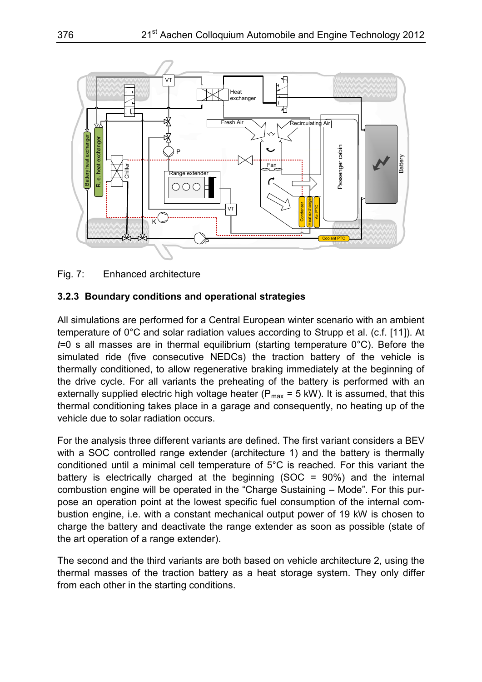

Fig. 7: Enhanced architecture

#### **3.2.3 Boundary conditions and operational strategies**

All simulations are performed for a Central European winter scenario with an ambient temperature of 0°C and solar radiation values according to Strupp et al. (c.f. [11]). At *t*=0 s all masses are in thermal equilibrium (starting temperature 0°C). Before the simulated ride (five consecutive NEDCs) the traction battery of the vehicle is thermally conditioned, to allow regenerative braking immediately at the beginning of the drive cycle. For all variants the preheating of the battery is performed with an externally supplied electric high voltage heater ( $P_{max}$  = 5 kW). It is assumed, that this thermal conditioning takes place in a garage and consequently, no heating up of the vehicle due to solar radiation occurs.

For the analysis three different variants are defined. The first variant considers a BEV with a SOC controlled range extender (architecture 1) and the battery is thermally conditioned until a minimal cell temperature of 5°C is reached. For this variant the battery is electrically charged at the beginning (SOC = 90%) and the internal combustion engine will be operated in the "Charge Sustaining – Mode". For this purpose an operation point at the lowest specific fuel consumption of the internal combustion engine, i.e. with a constant mechanical output power of 19 kW is chosen to charge the battery and deactivate the range extender as soon as possible (state of the art operation of a range extender).

The second and the third variants are both based on vehicle architecture 2, using the thermal masses of the traction battery as a heat storage system. They only differ from each other in the starting conditions.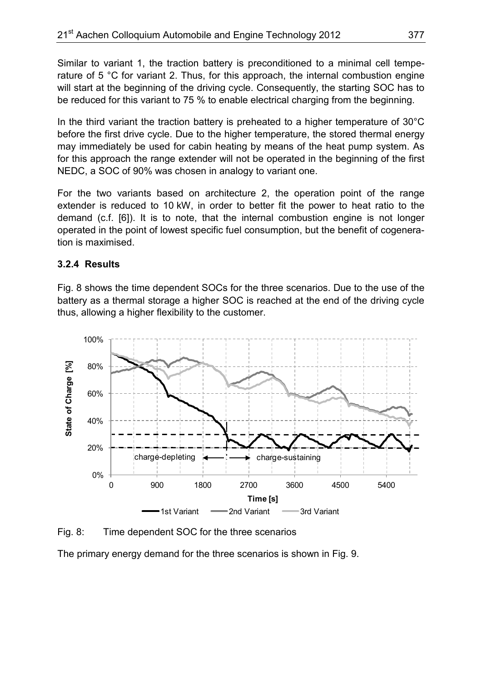Similar to variant 1, the traction battery is preconditioned to a minimal cell temperature of 5 °C for variant 2. Thus, for this approach, the internal combustion engine will start at the beginning of the driving cycle. Consequently, the starting SOC has to be reduced for this variant to 75 % to enable electrical charging from the beginning.

In the third variant the traction battery is preheated to a higher temperature of  $30^{\circ}$ C before the first drive cycle. Due to the higher temperature, the stored thermal energy may immediately be used for cabin heating by means of the heat pump system. As for this approach the range extender will not be operated in the beginning of the first NEDC, a SOC of 90% was chosen in analogy to variant one.

For the two variants based on architecture 2, the operation point of the range extender is reduced to 10 kW, in order to better fit the power to heat ratio to the demand (c.f. [6]). It is to note, that the internal combustion engine is not longer operated in the point of lowest specific fuel consumption, but the benefit of cogeneration is maximised.

#### **3.2.4 Results**

Fig. 8 shows the time dependent SOCs for the three scenarios. Due to the use of the battery as a thermal storage a higher SOC is reached at the end of the driving cycle thus, allowing a higher flexibility to the customer.



Fig. 8: Time dependent SOC for the three scenarios

The primary energy demand for the three scenarios is shown in Fig. 9.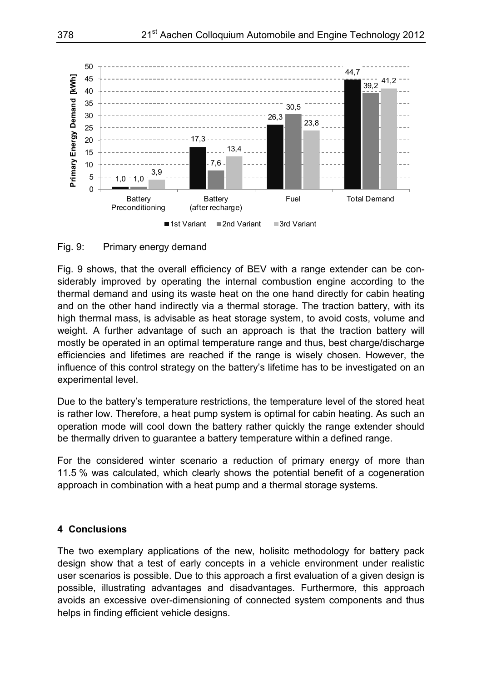

Fig. 9: Primary energy demand

Fig. 9 shows, that the overall efficiency of BEV with a range extender can be considerably improved by operating the internal combustion engine according to the thermal demand and using its waste heat on the one hand directly for cabin heating and on the other hand indirectly via a thermal storage. The traction battery, with its high thermal mass, is advisable as heat storage system, to avoid costs, volume and weight. A further advantage of such an approach is that the traction battery will mostly be operated in an optimal temperature range and thus, best charge/discharge efficiencies and lifetimes are reached if the range is wisely chosen. However, the influence of this control strategy on the battery's lifetime has to be investigated on an experimental level.

Due to the battery's temperature restrictions, the temperature level of the stored heat is rather low. Therefore, a heat pump system is optimal for cabin heating. As such an operation mode will cool down the battery rather quickly the range extender should be thermally driven to guarantee a battery temperature within a defined range.

For the considered winter scenario a reduction of primary energy of more than 11.5 % was calculated, which clearly shows the potential benefit of a cogeneration approach in combination with a heat pump and a thermal storage systems.

#### **4 Conclusions**

The two exemplary applications of the new, holisitc methodology for battery pack design show that a test of early concepts in a vehicle environment under realistic user scenarios is possible. Due to this approach a first evaluation of a given design is possible, illustrating advantages and disadvantages. Furthermore, this approach avoids an excessive over-dimensioning of connected system components and thus helps in finding efficient vehicle designs.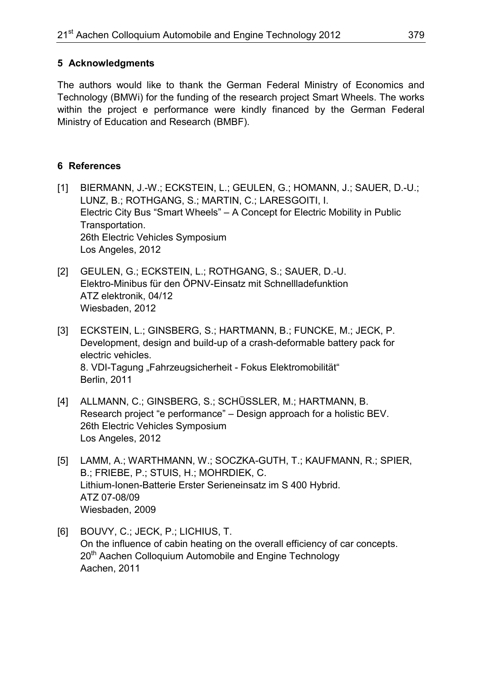# **5 Acknowledgments**

The authors would like to thank the German Federal Ministry of Economics and Technology (BMWi) for the funding of the research project Smart Wheels. The works within the project e performance were kindly financed by the German Federal Ministry of Education and Research (BMBF).

# **6 References**

- [1] BIERMANN, J.-W.; ECKSTEIN, L.; GEULEN, G.; HOMANN, J.; SAUER, D.-U.; LUNZ, B.; ROTHGANG, S.; MARTIN, C.; LARESGOITI, I. Electric City Bus "Smart Wheels" – A Concept for Electric Mobility in Public Transportation. 26th Electric Vehicles Symposium Los Angeles, 2012
- [2] GEULEN, G.; ECKSTEIN, L.; ROTHGANG, S.; SAUER, D.-U. Elektro-Minibus für den ÖPNV-Einsatz mit Schnellladefunktion ATZ elektronik, 04/12 Wiesbaden, 2012
- [3] ECKSTEIN, L.; GINSBERG, S.; HARTMANN, B.; FUNCKE, M.; JECK, P. Development, design and build-up of a crash-deformable battery pack for electric vehicles. 8. VDI-Tagung "Fahrzeugsicherheit - Fokus Elektromobilität" Berlin, 2011
- [4] ALLMANN, C.; GINSBERG, S.; SCHÜSSLER, M.; HARTMANN, B. Research project "e performance" – Design approach for a holistic BEV. 26th Electric Vehicles Symposium Los Angeles, 2012
- [5] LAMM, A.; WARTHMANN, W.; SOCZKA-GUTH, T.; KAUFMANN, R.; SPIER, B.; FRIEBE, P.; STUIS, H.; MOHRDIEK, C. Lithium-Ionen-Batterie Erster Serieneinsatz im S 400 Hybrid. ATZ 07-08/09 Wiesbaden, 2009
- [6] BOUVY, C.; JECK, P.; LICHIUS, T. On the influence of cabin heating on the overall efficiency of car concepts. 20<sup>th</sup> Aachen Colloquium Automobile and Engine Technology Aachen, 2011